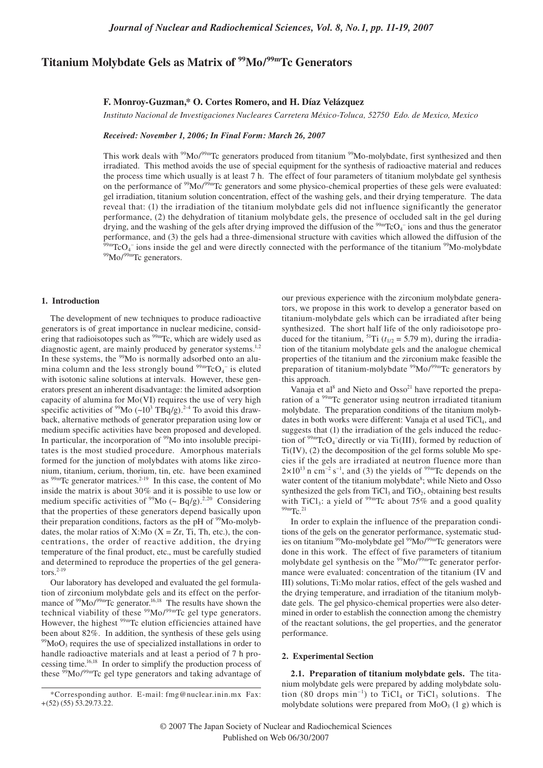# **Titanium Molybdate Gels as Matrix of 99Mo/99mTc Generators**

### **F. Monroy-Guzman,\* O. Cortes Romero, and H. Díaz Velázquez**

*Instituto Nacional de Investigaciones Nucleares Carretera México-Toluca, 52750 Edo. de Mexico, Mexico*

*Received: November 1, 2006; In Final Form: March 26, 2007*

This work deals with <sup>99</sup>Mo/<sup>99m</sup>Tc generators produced from titanium <sup>99</sup>Mo-molybdate, first synthesized and then irradiated. This method avoids the use of special equipment for the synthesis of radioactive material and reduces the process time which usually is at least 7 h. The effect of four parameters of titanium molybdate gel synthesis on the performance of <sup>99</sup>Mo/<sup>99m</sup>Tc generators and some physico-chemical properties of these gels were evaluated: gel irradiation, titanium solution concentration, effect of the washing gels, and their drying temperature. The data reveal that: (1) the irradiation of the titanium molybdate gels did not influence significantly the generator performance, (2) the dehydration of titanium molybdate gels, the presence of occluded salt in the gel during drying, and the washing of the gels after drying improved the diffusion of the  $99mTcO<sub>4</sub>$  ions and thus the generator performance, and (3) the gels had a three-dimensional structure with cavities which allowed the diffusion of the  $\frac{99 \text{m}}{204}$  rooms inside the gel and were directly connected with the performance of the titanium  $\frac{$ 

#### **1. Introduction**

The development of new techniques to produce radioactive generators is of great importance in nuclear medicine, considering that radioisotopes such as <sup>99mT</sup>c, which are widely used as diagnostic agent, are mainly produced by generator systems.<sup>1,2</sup> In these systems, the  $99$ Mo is normally adsorbed onto an alumina column and the less strongly bound  $\frac{99 \text{ m}}{\text{TCO}_4}$  is eluted with isotonic saline solutions at intervals. However, these generators present an inherent disadvantage: the limited adsorption capacity of alumina for Mo(VI) requires the use of very high specific activities of  $\rm{^{99}Mo}$  (~10<sup>3</sup> TBq/g).<sup>2-4</sup> To avoid this drawback, alternative methods of generator preparation using low or medium specific activities have been proposed and developed. In particular, the incorporation of <sup>99</sup>Mo into insoluble precipitates is the most studied procedure. Amorphous materials formed for the junction of molybdates with atoms like zirconium, titanium, cerium, thorium, tin, etc. have been examined as  $^{99m}$ Tc generator matrices.<sup>2-19</sup> In this case, the content of Mo inside the matrix is about 30% and it is possible to use low or medium specific activities of  $99$ Mo (~ Bq/g).<sup>2,20</sup> Considering that the properties of these generators depend basically upon their preparation conditions, factors as the pH of <sup>99</sup>Mo-molybdates, the molar ratios of X:Mo  $(X = Zr, Ti, Th, etc.),$  the concentrations, the order of reactive addition, the drying temperature of the final product, etc., must be carefully studied and determined to reproduce the properties of the gel generators. 2-19

Our laboratory has developed and evaluated the gel formulation of zirconium molybdate gels and its effect on the performance of <sup>99</sup>Mo/<sup>99m</sup>Tc generator.<sup>16,18</sup> The results have shown the technical viability of these  $99$ Mo/ $99$ <sup>m</sup>Tc gel type generators. However, the highest <sup>99m</sup>Tc elution efficiencies attained have been about 82%. In addition, the synthesis of these gels using  $99$ MoO<sub>3</sub> requires the use of specialized installations in order to handle radioactive materials and at least a period of 7 h processing time.<sup>16,18</sup> In order to simplify the production process of these  $\frac{99}{9}$ Mo/<sup>99m</sup>Tc gel type generators and taking advantage of our previous experience with the zirconium molybdate generators, we propose in this work to develop a generator based on titanium-molybdate gels which can be irradiated after being synthesized. The short half life of the only radioisotope produced for the titanium, <sup>51</sup>Ti ( $t_{1/2}$  = 5.79 m), during the irradiation of the titanium molybdate gels and the analogue chemical properties of the titanium and the zirconium make feasible the preparation of titanium-molybdate  $99Mo/99mTc$  generators by this approach.

Vanaja et al<sup>8</sup> and Nieto and  $Osso<sup>21</sup>$  have reported the preparation of a <sup>99m</sup>Tc generator using neutron irradiated titanium molybdate. The preparation conditions of the titanium molybdates in both works were different: Vanaja et al used TiCl<sub>4</sub>, and suggests that (1) the irradiation of the gels induced the reduction of  $99mTcO<sub>4</sub>$ <sup>-</sup>directly or via Ti(III), formed by reduction of  $Ti$  $(V)$ ,  $(2)$  the decomposition of the gel forms soluble Mo species if the gels are irradiated at neutron fluence more than  $2\times10^{13}$  n cm<sup>-2</sup> s<sup>-1</sup>, and (3) the yields of <sup>99m</sup>Tc depends on the water content of the titanium molybdate<sup>8</sup>; while Nieto and Osso synthesized the gels from  $TiCl<sub>3</sub>$  and  $TiO<sub>2</sub>$ , obtaining best results with TiCl<sub>3</sub>: a yield of  $99m$ Tc about 75% and a good quality  $99m$ Tc.<sup>21</sup>

In order to explain the influence of the preparation conditions of the gels on the generator performance, systematic studies on titanium <sup>99</sup>Mo-molybdate gel <sup>99</sup>Mo/<sup>99m</sup>Tc generators were done in this work. The effect of five parameters of titanium molybdate gel synthesis on the  $\frac{99}{9}$ Mo/ $\frac{99}{9}$ Tc generator performance were evaluated: concentration of the titanium (IV and III) solutions, Ti:Mo molar ratios, effect of the gels washed and the drying temperature, and irradiation of the titanium molybdate gels. The gel physico-chemical properties were also determined in order to establish the connection among the chemistry of the reactant solutions, the gel properties, and the generator performance.

#### **2. Experimental Section**

**2.1. Preparation of titanium molybdate gels.** The titanium molybdate gels were prepared by adding molybdate solution (80 drops  $\min^{-1}$ ) to TiCl<sub>4</sub> or TiCl<sub>3</sub> solutions. The molybdate solutions were prepared from  $MoO<sub>3</sub>(1 g)$  which is

<sup>\*</sup>Corresponding author. E-mail: fmg@nuclear.inin.mx Fax: +(52) (55) 53.29.73.22.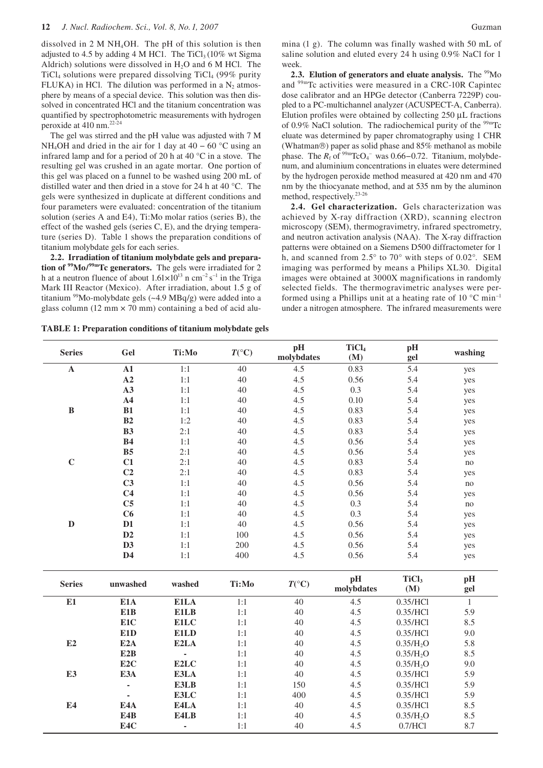dissolved in 2 M NH4OH. The pH of this solution is then adjusted to 4.5 by adding 4 M HC1. The TiCl<sub>3</sub> (10% wt Sigma Aldrich) solutions were dissolved in  $H<sub>2</sub>O$  and 6 M HCl. The TiCl<sub>4</sub> solutions were prepared dissolving TiCl<sub>4</sub> (99% purity FLUKA) in HCl. The dilution was performed in a  $N_2$  atmosphere by means of a special device. This solution was then dissolved in concentrated HCl and the titanium concentration was quantified by spectrophotometric measurements with hydrogen peroxide at 410 nm. 22-24

The gel was stirred and the pH value was adjusted with 7 M NH<sub>4</sub>OH and dried in the air for 1 day at 40 – 60 °C using an infrared lamp and for a period of 20 h at 40 °C in a stove. The resulting gel was crushed in an agate mortar. One portion of this gel was placed on a funnel to be washed using 200 mL of distilled water and then dried in a stove for 24 h at 40 °C. The gels were synthesized in duplicate at different conditions and four parameters were evaluated: concentration of the titanium solution (series A and E4), Ti:Mo molar ratios (series B), the effect of the washed gels (series C, E), and the drying temperature (series D). Table 1 shows the preparation conditions of titanium molybdate gels for each series.

**2.2. Irradiation of titanium molybdate gels and preparation of 99Mo/99mTc generators.** The gels were irradiated for 2 h at a neutron fluence of about  $1.61 \times 10^{13}$  n cm<sup>-2</sup> s<sup>-1</sup> in the Triga Mark III Reactor (Mexico). After irradiation, about 1.5 g of titanium  $\frac{99}{9}$ Mo-molybdate gels (~4.9 MBq/g) were added into a glass column (12 mm  $\times$  70 mm) containing a bed of acid alusaline solution and eluted every 24 h using 0.9% NaCl for 1 week. **2.3. Elution of generators and eluate analysis.** The <sup>99</sup>Mo and 99mTc activities were measured in a CRC-10R Capintec dose calibrator and an HPGe detector (Canberra 7229P) coupled to a PC-multichannel analyzer (ACUSPECT-A, Canberra). Elution profiles were obtained by collecting 250 µL fractions of 0.9% NaCl solution. The radiochemical purity of the  $99mTc$ 

eluate was determined by paper chromatography using 1 CHR (Whatman®) paper as solid phase and 85% methanol as mobile phase. The  $R_f$  of <sup>99m</sup>TcO<sub>4</sub><sup>-</sup> was 0.66–0.72. Titanium, molybdenum, and aluminium concentrations in eluates were determined by the hydrogen peroxide method measured at 420 nm and 470 nm by the thiocyanate method, and at 535 nm by the aluminon method, respectively. 23-26

**2.4. Gel characterization.** Gels characterization was achieved by X-ray diffraction (XRD), scanning electron microscopy (SEM), thermogravimetry, infrared spectrometry, and neutron activation analysis (NAA). The X-ray diffraction patterns were obtained on a Siemens D500 diffractometer for 1 h, and scanned from 2.5° to 70° with steps of 0.02°. SEM imaging was performed by means a Philips XL30. Digital images were obtained at 3000X magnifications in randomly selected fields. The thermogravimetric analyses were performed using a Phillips unit at a heating rate of 10  $^{\circ}$ C min<sup>-1</sup> under a nitrogen atmosphere. The infrared measurements were

**TABLE 1: Preparation conditions of titanium molybdate gels**

| <b>Series</b>  | Gel                      | Ti:Mo  | $T({}^{\circ}C)$ | pH<br>molybdates | TiCl <sub>4</sub><br>(M) | pH<br>gel                | washing      |  |
|----------------|--------------------------|--------|------------------|------------------|--------------------------|--------------------------|--------------|--|
| $\mathbf{A}$   | A1                       | 1:1    | 40               | 4.5              | 0.83                     | 5.4                      | yes          |  |
|                | A2                       | 1:1    | 40               | 4.5              | 0.56                     | 5.4                      | yes          |  |
|                | A3                       | $1:1$  | 40               | 4.5              | 0.3                      | 5.4                      | yes          |  |
|                | A <sub>4</sub>           | $1:1$  | 40               | 4.5              | 0.10                     | 5.4                      | yes          |  |
| $\, {\bf B}$   | B1                       | $1:1$  | 40               | 4.5              | 0.83                     | 5.4                      | yes          |  |
|                | B2                       | 1:2    | 40               | 4.5              | 0.83                     | 5.4                      | yes          |  |
|                | B3                       | 2:1    | 40               | 4.5              | 0.83                     | 5.4                      | yes          |  |
|                | B4                       | 1:1    | 40               | 4.5              | 0.56                     | 5.4                      | yes          |  |
|                | B <sub>5</sub>           | 2:1    | 40               | 4.5              | 0.56                     | 5.4                      | yes          |  |
| $\mathbf C$    | C1                       | 2:1    | 40               | 4.5              | 0.83                     | 5.4                      | no           |  |
|                | C2                       | 2:1    | 40               | 4.5              | 0.83                     | 5.4                      | yes          |  |
|                | C <sub>3</sub>           | $1:1$  | 40               | 4.5              | 0.56                     | 5.4                      | no           |  |
|                | C <sub>4</sub>           | $1:1$  | 40               | 4.5              | 0.56                     | 5.4                      | yes          |  |
|                | C <sub>5</sub>           | $1:1$  | 40               | 4.5              | 0.3                      | 5.4                      | no           |  |
|                | C6                       | $1:1$  | 40               | 4.5              | 0.3                      | 5.4                      | yes          |  |
| $\mathbf D$    | D1                       | 1:1    | 40               | 4.5              | 0.56                     | 5.4                      | yes          |  |
|                | D2                       | $1:1$  | 100              | 4.5              | 0.56                     | 5.4                      | yes          |  |
|                | D3                       | $1:1$  | 200              | 4.5              | 0.56                     | 5.4                      | yes          |  |
|                | D <sub>4</sub>           | 1:1    | 400              | 4.5              | 0.56                     | 5.4                      | yes          |  |
| <b>Series</b>  | unwashed                 | washed | Ti:Mo            | $T({}^{\circ}C)$ | pH<br>molybdates         | TiCl <sub>3</sub><br>(M) | pH<br>gel    |  |
| E1             | E1A                      | E1LA   | 1:1              | $40\,$           | 4.5                      | 0.35/HCl                 | $\mathbf{1}$ |  |
|                | E1B                      | E1LB   | 1:1              | $40\,$           | 4.5                      | 0.35/HCl                 | 5.9          |  |
|                | E1C                      | E1LC   | 1:1              | 40               | 4.5                      | 0.35/HCl                 | 8.5          |  |
|                | E1D                      | E1LD   | 1:1              | 40               | 4.5                      | 0.35/HCl                 | 9.0          |  |
| E2             | E <sub>2</sub> A         | E2LA   | 1:1              | 40               | 4.5                      | 0.35/H <sub>2</sub> O    | 5.8          |  |
|                | E <sub>2</sub> B         | ÷.     | 1:1              | 40               | 4.5                      | 0.35/H <sub>2</sub> O    | 8.5          |  |
|                | E <sub>2C</sub>          | E2LC   | 1:1              | 40               | 4.5                      | 0.35/H <sub>2</sub> O    | 9.0          |  |
| E <sub>3</sub> | E3A                      | E3LA   | 1:1              | $40\,$           | 4.5                      | 0.35/HCl                 | 5.9          |  |
|                | $\blacksquare$           | E3LB   | 1:1              | 150              | 4.5                      | 0.35/HCl                 | 5.9          |  |
|                | $\overline{\phantom{a}}$ | E3LC   | 1:1              | 400              | 4.5                      | 0.35/HCl                 | 5.9          |  |
| E4             | E4A                      | E4LA   | 1:1              | 40               | 4.5                      | 0.35/HCl                 | 8.5          |  |
|                | E4B                      | E4LB   | 1:1              | 40               | 4.5                      | 0.35/H <sub>2</sub> O    | 8.5          |  |
|                | E4C                      | L      | 1:1              | 40               | 4.5                      | 0.7/HC1                  | 8.7          |  |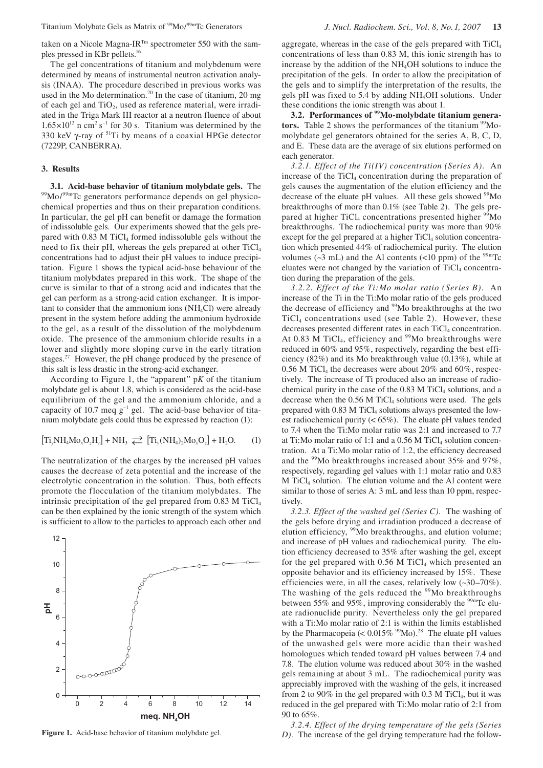taken on a Nicole Magna-IR<sup>Tm</sup> spectrometer 550 with the samples pressed in KBr pellets. 16

The gel concentrations of titanium and molybdenum were determined by means of instrumental neutron activation analysis (INAA). The procedure described in previous works was used in the Mo determination.<sup>20</sup> In the case of titanium, 20 mg of each gel and  $TiO<sub>2</sub>$ , used as reference material, were irradiated in the Triga Mark III reactor at a neutron fluence of about  $1.65 \times 10^{12}$  n cm<sup>2</sup> s<sup>-1</sup> for 30 s. Titanium was determined by the 330 keV γ-ray of 51Ti by means of a coaxial HPGe detector (7229P, CANBERRA).

# **3. Results**

**3.1. Acid-base behavior of titanium molybdate gels.** The <sup>99</sup>Mo/<sup>99m</sup>Tc generators performance depends on gel physicochemical properties and thus on their preparation conditions. In particular, the gel pH can benefit or damage the formation of indissoluble gels. Our experiments showed that the gels prepared with  $0.83$  M TiCl<sub>4</sub> formed indissoluble gels without the need to fix their pH, whereas the gels prepared at other TiCl4 concentrations had to adjust their pH values to induce precipitation. Figure 1 shows the typical acid-base behaviour of the titanium molybdates prepared in this work. The shape of the curve is similar to that of a strong acid and indicates that the gel can perform as a strong-acid cation exchanger. It is important to consider that the ammonium ions  $(NH_4Cl)$  were already present in the system before adding the ammonium hydroxide to the gel, as a result of the dissolution of the molybdenum oxide. The presence of the ammonium chloride results in a lower and slightly more sloping curve in the early titration stages.<sup>27</sup> However, the pH change produced by the presence of this salt is less drastic in the strong-acid exchanger.

According to Figure 1, the "apparent" p*K* of the titanium molybdate gel is about 1.8, which is considered as the acid-base equilibrium of the gel and the ammonium chloride, and a capacity of 10.7 meq  $g^{-1}$  gel. The acid-base behavior of titanium molybdate gels could thus be expressed by reaction (1):

$$
\left[\mathrm{Ti}_y\mathrm{NH}_4\mathrm{Mo}_x\mathrm{O}_z\mathrm{H}_r\right]+\mathrm{NH}_3\;\rightleftarrows\;\left[\mathrm{Ti}_y(\mathrm{NH}_4)_2\mathrm{Mo}_x\mathrm{O}_z\right]+\mathrm{H}_2\mathrm{O}.\hspace{2em}\text{(1)}
$$

The neutralization of the charges by the increased pH values causes the decrease of zeta potential and the increase of the electrolytic concentration in the solution. Thus, both effects promote the flocculation of the titanium molybdates. The intrinsic precipitation of the gel prepared from  $0.83$  M TiCl<sub>4</sub> can be then explained by the ionic strength of the system which is sufficient to allow to the particles to approach each other and



aggregate, whereas in the case of the gels prepared with TiCl4 concentrations of less than 0.83 M, this ionic strength has to increase by the addition of the NH4OH solutions to induce the precipitation of the gels. In order to allow the precipitation of the gels and to simplify the interpretation of the results, the gels pH was fixed to 5.4 by adding NH4OH solutions. Under these conditions the ionic strength was about 1.

**3.2. Performances of 99Mo-molybdate titanium genera**tors. Table 2 shows the performances of the titanium <sup>99</sup>Momolybdate gel generators obtained for the series A, B, C, D, and E.These data are the average of six elutions performed on each generator.

*3.2.1. Effect of the Ti(IV) concentration (Series A).* An increase of the TiCl<sub>4</sub> concentration during the preparation of gels causes the augmentation of the elution efficiency and the decrease of the eluate pH values. All these gels showed <sup>99</sup>Mo breakthroughs of more than 0.1% (see Table 2). The gels prepared at higher TiCl<sub>4</sub> concentrations presented higher  $\frac{99}{9}$ Mo breakthroughs. The radiochemical purity was more than 90% except for the gel prepared at a higher  $TiCl<sub>4</sub>$  solution concentration which presented 44% of radiochemical purity. The elution volumes ( $\sim$ 3 mL) and the Al contents ( $\lt$ 10 ppm) of the <sup>99m</sup>Tc eluates were not changed by the variation of  $TiCl<sub>4</sub>$  concentration during the preparation of the gels.

*3.2.2. Effect of the Ti:Mo molar ratio (Series B).* An increase of the Ti in the Ti:Mo molar ratio of the gels produced the decrease of efficiency and 99Mo breakthroughs at the two TiCl4 concentrations used (see Table 2). However, these decreases presented different rates in each TiCl<sub>4</sub> concentration. At 0.83 M TiCl<sub>4</sub>, efficiency and  $99$ Mo breakthroughs were reduced in 60% and 95%, respectively, regarding the best efficiency (82%) and its Mo breakthrough value (0.13%), while at  $0.56$  M TiCl<sub>4</sub> the decreases were about 20% and 60%, respectively. The increase of Ti produced also an increase of radiochemical purity in the case of the 0.83 M TiCl<sub>4</sub> solutions, and a decrease when the  $0.56$  M TiCl<sub>4</sub> solutions were used. The gels prepared with  $0.83$  M TiCl<sub>4</sub> solutions always presented the lowest radiochemical purity  $(< 65\%)$ . The eluate pH values tended to 7.4 when the Ti:Mo molar ratio was 2:1 and increased to 7.7 at Ti:Mo molar ratio of 1:1 and a  $0.56$  M TiCl<sub>4</sub> solution concentration. At a Ti:Mo molar ratio of 1:2, the efficiency decreased and the  $99$ Mo breakthroughs increased about 35% and 97%, respectively, regarding gel values with 1:1 molar ratio and 0.83 M TiCl4 solution. The elution volume and the Al content were similar to those of series A: 3 mL and less than 10 ppm, respectively.

*3.2.3. Effect of the washed gel (Series C).* The washing of the gels before drying and irradiation produced a decrease of elution efficiency, <sup>99</sup>Mo breakthroughs, and elution volume; and increase of pH values and radiochemical purity. The elution efficiency decreased to 35% after washing the gel, except for the gel prepared with  $0.56$  M TiCl<sub>4</sub> which presented an opposite behavior and its efficiency increased by 15%. These efficiencies were, in all the cases, relatively low (~30–70%). The washing of the gels reduced the  $99$ Mo breakthroughs between 55% and 95%, improving considerably the <sup>99m</sup>Tc eluate radionuclide purity. Nevertheless only the gel prepared with a Ti:Mo molar ratio of 2:1 is within the limits established by the Pharmacopeia (<  $0.015\%$  <sup>99</sup>Mo).<sup>28</sup> The eluate pH values of the unwashed gels were more acidic than their washed homologues which tended toward pH values between 7.4 and 7.8. The elution volume was reduced about 30% in the washed gels remaining at about 3 mL. The radiochemical purity was appreciably improved with the washing of the gels, it increased from 2 to 90% in the gel prepared with 0.3 M TiCl<sub>4</sub>, but it was reduced in the gel prepared with Ti:Mo molar ratio of 2:1 from 90 to 65%.

*3.2.4. Effect of the drying temperature of the gels (Series*  **Figure 1.** Acid-base behavior of titanium molybdate gel.  $D$ . The increase of the gel drying temperature had the follow-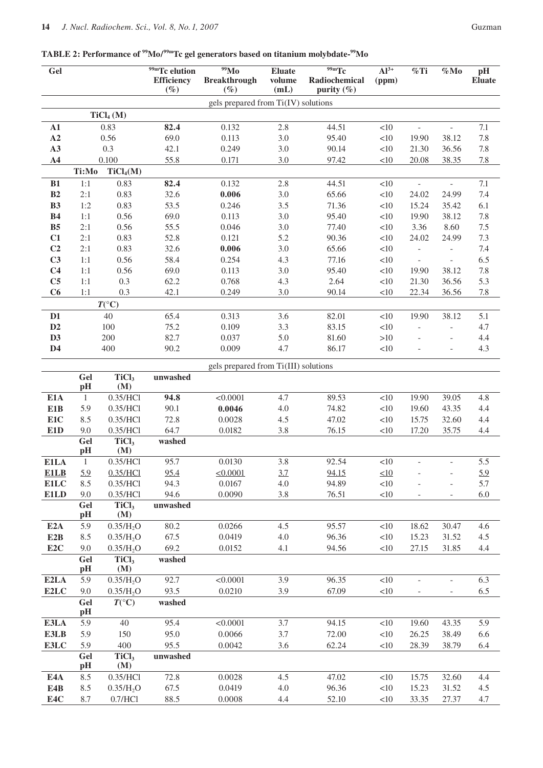# **TABLE 2: Performance of 99Mo/99mTc gel generators based on titanium molybdate-99Mo**

| Gel                              |              |                          | $\sqrt[99]{9}$ <sup>99m</sup> Tc elution<br><b>Efficiency</b><br>$(\%)$ | $\overline{^{99}}$ Mo<br><b>Breakthrough</b><br>$(\%)$ | <b>Eluate</b><br>volume<br>(mL) | $\overline{^{99m}Tc}$<br>Radiochemical<br>purity $(\%)$ | $Al^{3+}$<br>(ppm) | %Ti                               | $\%$ Mo                                              | pH<br><b>Eluate</b> |
|----------------------------------|--------------|--------------------------|-------------------------------------------------------------------------|--------------------------------------------------------|---------------------------------|---------------------------------------------------------|--------------------|-----------------------------------|------------------------------------------------------|---------------------|
|                                  |              |                          |                                                                         | gels prepared from Ti(IV) solutions                    |                                 |                                                         |                    |                                   |                                                      |                     |
|                                  |              | TiCl <sub>4</sub> (M)    |                                                                         |                                                        |                                 |                                                         |                    |                                   |                                                      |                     |
| ${\bf A1}$                       | 0.83         |                          | 82.4                                                                    | 0.132                                                  | 2.8                             | 44.51                                                   | <10                | L,                                | $\overline{\phantom{a}}$                             | 7.1                 |
| A2                               | 0.56         |                          | 69.0                                                                    | 0.113                                                  | 3.0                             | 95.40                                                   | <10                | 19.90                             | 38.12                                                | 7.8                 |
| A3                               |              | 0.3                      | 42.1                                                                    | 0.249                                                  | 3.0                             | 90.14                                                   | <10                | 21.30                             | 36.56                                                | 7.8                 |
| A <sub>4</sub>                   | 0.100        |                          | 55.8                                                                    | 0.171                                                  | 3.0                             | 97.42                                                   | <10                | 20.08                             | 38.35                                                | 7.8                 |
|                                  | Ti:Mo        | TiCl <sub>4</sub> (M)    |                                                                         |                                                        |                                 |                                                         |                    |                                   |                                                      |                     |
| B1                               | 1:1          | 0.83                     | 82.4                                                                    | 0.132                                                  | 2.8                             | 44.51                                                   | <10                | $\overline{\phantom{m}}$          | $\overline{a}$                                       | 7.1                 |
| B2                               | 2:1          | 0.83                     | 32.6                                                                    | 0.006                                                  | 3.0                             | 65.66                                                   | $<\!\!10$          | 24.02                             | 24.99                                                | 7.4                 |
| B3                               | 1:2          | 0.83                     | 53.5                                                                    | 0.246                                                  | 3.5                             | 71.36                                                   | $<\!\!10$          | 15.24                             | 35.42                                                | 6.1                 |
| B4                               | 1:1          | 0.56                     | 69.0                                                                    | 0.113                                                  | 3.0                             | 95.40                                                   | <10                | 19.90                             | 38.12                                                | $7.8\,$             |
| B <sub>5</sub>                   | 2:1          | 0.56                     | 55.5                                                                    | 0.046                                                  | 3.0                             | 77.40                                                   | $<\!\!10$          | 3.36                              | 8.60                                                 | $7.5\,$             |
| C1                               | 2:1          | 0.83                     | 52.8                                                                    | 0.121                                                  | 5.2                             | 90.36                                                   | <10                | 24.02                             | 24.99                                                | 7.3                 |
| C <sub>2</sub><br>C <sub>3</sub> | 2:1<br>1:1   | 0.83<br>0.56             | 32.6<br>58.4                                                            | 0.006<br>0.254                                         | 3.0<br>4.3                      | 65.66<br>77.16                                          | $<\!\!10$<br><10   | $\overline{a}$                    | $\overline{\phantom{a}}$<br>$\overline{\phantom{0}}$ | 7.4<br>6.5          |
| C <sub>4</sub>                   | 1:1          | 0.56                     | 69.0                                                                    | 0.113                                                  | 3.0                             | 95.40                                                   | $<\!\!10$          | $\overline{\phantom{0}}$<br>19.90 | 38.12                                                | $7.8\,$             |
| C <sub>5</sub>                   | 1:1          | 0.3                      | 62.2                                                                    | 0.768                                                  | 4.3                             | 2.64                                                    | <10                | 21.30                             | 36.56                                                | 5.3                 |
| C6                               | 1:1          | 0.3                      | 42.1                                                                    | 0.249                                                  | 3.0                             | 90.14                                                   | <10                | 22.34                             | 36.56                                                | $7.8\,$             |
|                                  |              | $T({}^{\circ}C)$         |                                                                         |                                                        |                                 |                                                         |                    |                                   |                                                      |                     |
| D <sub>1</sub>                   |              | 40                       | 65.4                                                                    | 0.313                                                  | 3.6                             | 82.01                                                   | <10                | 19.90                             | 38.12                                                | 5.1                 |
| D2                               |              | 100                      | 75.2                                                                    | 0.109                                                  | 3.3                             | 83.15                                                   | <10                | L,                                |                                                      | 4.7                 |
| D3                               |              | 200                      | 82.7                                                                    | 0.037                                                  | 5.0                             | 81.60                                                   | >10                |                                   | $\overline{\phantom{0}}$                             | 4.4                 |
| D <sub>4</sub>                   |              | 400                      | 90.2                                                                    | 0.009                                                  | 4.7                             | 86.17                                                   | <10                |                                   | $\overline{a}$                                       | 4.3                 |
|                                  |              |                          |                                                                         |                                                        |                                 |                                                         |                    |                                   |                                                      |                     |
|                                  |              |                          |                                                                         | gels prepared from Ti(III) solutions                   |                                 |                                                         |                    |                                   |                                                      |                     |
|                                  | Gel<br>pH    | TiCl <sub>3</sub><br>(M) | unwashed                                                                |                                                        |                                 |                                                         |                    |                                   |                                                      |                     |
| E1A                              | $\mathbf{1}$ | 0.35/HCl                 | 94.8                                                                    | < 0.0001                                               | 4.7                             | 89.53                                                   | <10                | 19.90                             | 39.05                                                | 4.8                 |
| E1B                              | 5.9          | 0.35/HCl                 | 90.1                                                                    | 0.0046                                                 | 4.0                             | 74.82                                                   | $<10$              | 19.60                             | 43.35                                                | 4.4                 |
| E1C                              | 8.5          | 0.35/HCl                 | 72.8                                                                    | 0.0028                                                 | 4.5                             | 47.02                                                   | <10                | 15.75                             | 32.60                                                | 4.4                 |
| E1D                              | 9.0          | 0.35/HCl                 | 64.7                                                                    | 0.0182                                                 | 3.8                             | 76.15                                                   | <10                | 17.20                             | 35.75                                                | 4.4                 |
|                                  | Gel          | TiCl <sub>3</sub>        | washed                                                                  |                                                        |                                 |                                                         |                    |                                   |                                                      |                     |
|                                  | pH           | (M)                      |                                                                         |                                                        |                                 |                                                         |                    |                                   |                                                      |                     |
| E1LA                             | $\mathbf{1}$ | 0.35/HCl                 | 95.7                                                                    | 0.0130                                                 | 3.8                             | 92.54                                                   | $<\!\!10$          |                                   |                                                      | 5.5                 |
| <b>E1LB</b>                      | 5.9          | 0.35/HC1                 | 95.4                                                                    | $\leq 0.0001$                                          | 3.7                             | 94.15                                                   | $\leq10$           |                                   |                                                      | 5.9                 |
| E1LC<br>E1LD                     | 8.5<br>9.0   | 0.35/HCl<br>0.35/HCl     | 94.3<br>94.6                                                            | 0.0167<br>0.0090                                       | 4.0<br>3.8                      | 94.89<br>76.51                                          | <10<br><10         |                                   |                                                      | 5.7<br>6.0          |
|                                  | Gel          | TiCl <sub>3</sub>        | unwashed                                                                |                                                        |                                 |                                                         |                    |                                   |                                                      |                     |
|                                  | pH           | (M)                      |                                                                         |                                                        |                                 |                                                         |                    |                                   |                                                      |                     |
| E2A                              | 5.9          | 0.35/H <sub>2</sub> O    | 80.2                                                                    | 0.0266                                                 | 4.5                             | 95.57                                                   | <10                | 18.62                             | 30.47                                                | 4.6                 |
| E2B                              | 8.5          | 0.35/H <sub>2</sub> O    | 67.5                                                                    | 0.0419                                                 | 4.0                             | 96.36                                                   | <10                | 15.23                             | 31.52                                                | 4.5                 |
| E <sub>2C</sub>                  | 9.0          | 0.35/H <sub>2</sub> O    | 69.2                                                                    | 0.0152                                                 | 4.1                             | 94.56                                                   | <10                | 27.15                             | 31.85                                                | 4.4                 |
|                                  | Gel<br>pH    | TiCl <sub>3</sub><br>(M) | washed                                                                  |                                                        |                                 |                                                         |                    |                                   |                                                      |                     |
| E2LA                             | 5.9          | 0.35/H <sub>2</sub> O    | 92.7                                                                    | < 0.0001                                               | 3.9                             | 96.35                                                   | <10                | $\frac{1}{2}$                     | $\overline{\phantom{a}}$                             | 6.3                 |
| E2LC                             | 9.0          | 0.35/H <sub>2</sub> O    | 93.5                                                                    | 0.0210                                                 | 3.9                             | 67.09                                                   | <10                |                                   |                                                      | 6.5                 |
|                                  | Gel          | $T({}^{\circ}C)$         | washed                                                                  |                                                        |                                 |                                                         |                    |                                   |                                                      |                     |
|                                  | pH           |                          |                                                                         |                                                        |                                 |                                                         |                    |                                   |                                                      |                     |
| E3LA                             | 5.9          | 40                       | 95.4                                                                    | < 0.0001                                               | 3.7                             | 94.15                                                   | <10                | 19.60                             | 43.35                                                | 5.9                 |
| E3LB                             | 5.9          | 150                      | 95.0                                                                    | 0.0066                                                 | 3.7                             | 72.00                                                   | <10                | 26.25                             | 38.49                                                | 6.6                 |
| E3LC                             | 5.9          | 400                      | 95.5                                                                    | 0.0042                                                 | 3.6                             | 62.24                                                   | <10                | 28.39                             | 38.79                                                | 6.4                 |
|                                  | Gel<br>pH    | TiCl <sub>3</sub><br>(M) | unwashed                                                                |                                                        |                                 |                                                         |                    |                                   |                                                      |                     |
| E4A                              | 8.5          | 0.35/HCl                 | 72.8                                                                    | 0.0028                                                 | 4.5                             | 47.02                                                   | <10                | 15.75                             | 32.60                                                | 4.4                 |
| E4B                              | 8.5          | 0.35/H <sub>2</sub> O    | 67.5                                                                    | 0.0419                                                 | 4.0                             | 96.36                                                   | ${<}10$            | 15.23                             | 31.52                                                | 4.5                 |
| E4C                              | 8.7          | 0.7/HC1                  | 88.5                                                                    | 0.0008                                                 | 4.4                             | 52.10                                                   | <10                | 33.35                             | 27.37                                                | 4.7                 |
|                                  |              |                          |                                                                         |                                                        |                                 |                                                         |                    |                                   |                                                      |                     |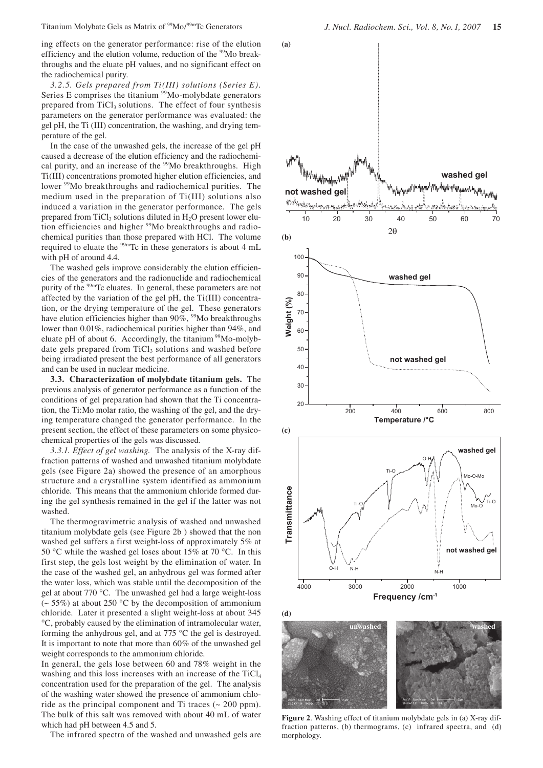ing effects on the generator performance: rise of the elution efficiency and the elution volume, reduction of the <sup>99</sup>Mo breakthroughs and the eluate pH values, and no significant effect on the radiochemical purity.

*3.2.5. Gels prepared from Ti(III) solutions (Series E).*  Series E comprises the titanium <sup>99</sup>Mo-molybdate generators prepared from TiCl<sub>3</sub> solutions. The effect of four synthesis parameters on the generator performance was evaluated: the gel pH, the Ti (III) concentration, the washing, and drying temperature of the gel.

In the case of the unwashed gels, the increase of the gel pH caused a decrease of the elution efficiency and the radiochemical purity, and an increase of the <sup>99</sup>Mo breakthroughs. High Ti(III) concentrations promoted higher elution efficiencies, and lower <sup>99</sup>Mo breakthroughs and radiochemical purities. The medium used in the preparation of Ti(III) solutions also induced a variation in the generator performance. The gels prepared from TiCl<sub>3</sub> solutions diluted in  $H<sub>2</sub>O$  present lower elution efficiencies and higher <sup>99</sup>Mo breakthroughs and radiochemical purities than those prepared with HCl. The volume required to eluate the  $\frac{99 \text{m}}{2}$ Tc in these generators is about 4 mL with pH of around 4.4.

The washed gels improve considerably the elution efficiencies of the generators and the radionuclide and radiochemical purity of the 99mTc eluates. In general, these parameters are not affected by the variation of the gel pH, the Ti(III) concentration, or the drying temperature of the gel. These generators have elution efficiencies higher than  $90\%$ , <sup>99</sup>Mo breakthroughs lower than 0.01%, radiochemical purities higher than 94%, and eluate pH of about 6. Accordingly, the titanium  $99M_0$ -molybdate gels prepared from TiCl<sub>3</sub> solutions and washed before being irradiated present the best performance of all generators and can be used in nuclear medicine.

**3.3. Characterization of molybdate titanium gels.** The previous analysis of generator performance as a function of the conditions of gel preparation had shown that the Ti concentration, the Ti:Mo molar ratio, the washing of the gel, and the drying temperature changed the generator performance. In the present section, the effect of these parameters on some physicochemical properties of the gels was discussed.

*3.3.1. Effect of gel washing.* The analysis of the X-ray diffraction patterns of washed and unwashed titanium molybdate gels (see Figure 2a) showed the presence of an amorphous structure and a crystalline system identified as ammonium chloride. This means that the ammonium chloride formed during the gel synthesis remained in the gel if the latter was not washed.

The thermogravimetric analysis of washed and unwashed titanium molybdate gels (see Figure 2b ) showed that the non washed gel suffers a first weight-loss of approximately 5% at 50 °C while the washed gel loses about 15% at 70 °C. In this first step, the gels lost weight by the elimination of water. In the case of the washed gel, an anhydrous gel was formed after the water loss, which was stable until the decomposition of the gel at about 770 °C. The unwashed gel had a large weight-loss  $\sim$  55%) at about 250 °C by the decomposition of ammonium chloride. Later it presented a slight weight-loss at about 345 °C, probably caused by the elimination of intramolecular water, forming the anhydrous gel, and at 775 °C the gel is destroyed. It is important to note that more than 60% of the unwashed gel weight corresponds to the ammonium chloride.

In general, the gels lose between 60 and 78% weight in the washing and this loss increases with an increase of the  $TiCl<sub>4</sub>$ concentration used for the preparation of the gel. The analysis of the washing water showed the presence of ammonium chloride as the principal component and Ti traces  $\sim 200$  ppm). The bulk of this salt was removed with about 40 mL of water which had pH between 4.5 and 5.

The infrared spectra of the washed and unwashed gels are



**Figure 2**. Washing effect of titanium molybdate gels in (a) X-ray diffraction patterns, (b) thermograms, (c) infrared spectra, and (d) morphology.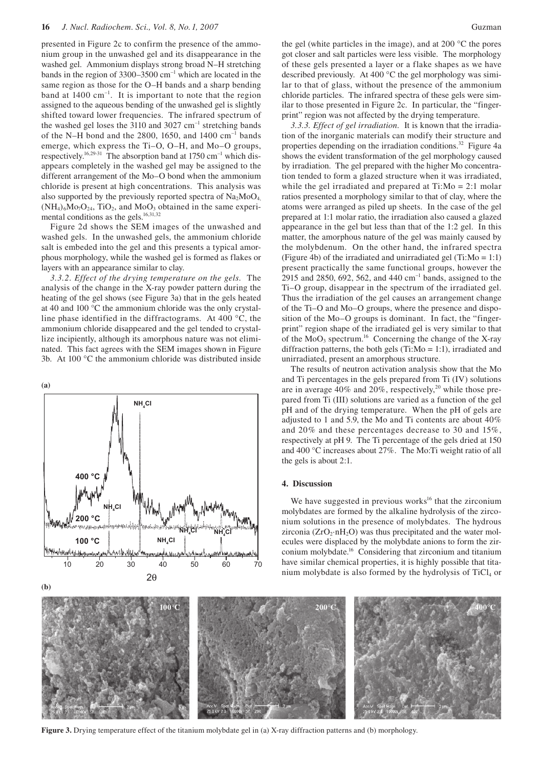presented in Figure 2c to confirm the presence of the ammonium group in the unwashed gel and its disappearance in the washed gel. Ammonium displays strong broad N–H stretching bands in the region of  $3300-3500$  cm<sup>-1</sup> which are located in the same region as those for the O–H bands and a sharp bending band at  $1400 \text{ cm}^{-1}$ . It is important to note that the region assigned to the aqueous bending of the unwashed gel is slightly shifted toward lower frequencies. The infrared spectrum of the washed gel loses the 3110 and 3027  $cm^{-1}$  stretching bands of the N–H bond and the 2800, 1650, and 1400  $\text{cm}^{-1}$  bands emerge, which express the Ti–O, O–H, and Mo–O groups, respectively.<sup>16,29-31</sup> The absorption band at 1750 cm<sup>-1</sup> which disappears completely in the washed gel may be assigned to the different arrangement of the Mo–O bond when the ammonium chloride is present at high concentrations. This analysis was also supported by the previously reported spectra of  $Na<sub>2</sub>MoO<sub>4</sub>$  $(NH_4)_{6}Mo_{7}O_{24}$ , TiO<sub>2</sub>, and MoO<sub>3</sub> obtained in the same experimental conditions as the gels.<sup>16,31,32</sup>

Figure 2d shows the SEM images of the unwashed and washed gels. In the unwashed gels, the ammonium chloride salt is embeded into the gel and this presents a typical amorphous morphology, while the washed gel is formed as flakes or layers with an appearance similar to clay.

*3.3.2. Effect of the drying temperature on the gels.* The analysis of the change in the X-ray powder pattern during the heating of the gel shows (see Figure 3a) that in the gels heated at 40 and 100 °C the ammonium chloride was the only crystalline phase identified in the diffractograms. At 400 °C, the ammonium chloride disappeared and the gel tended to crystallize incipiently, although its amorphous nature was not eliminated. This fact agrees with the SEM images shown in Figure 3b. At 100 °C the ammonium chloride was distributed inside



the gel (white particles in the image), and at 200 °C the pores got closer and salt particles were less visible. The morphology of these gels presented a layer or a flake shapes as we have described previously. At 400 °C the gel morphology was similar to that of glass, without the presence of the ammonium chloride particles. The infrared spectra of these gels were similar to those presented in Figure 2c. In particular, the "fingerprint" region was not affected by the drying temperature.

*3.3.3. Effect of gel irradiation.* It is known that the irradiation of the inorganic materials can modify their structure and properties depending on the irradiation conditions.<sup>32</sup> Figure 4a shows the evident transformation of the gel morphology caused by irradiation. The gel prepared with the higher Mo concentration tended to form a glazed structure when it was irradiated, while the gel irradiated and prepared at  $Ti:Mo = 2:1$  molar ratios presented a morphology similar to that of clay, where the atoms were arranged as piled up sheets. In the case of the gel prepared at 1:1 molar ratio, the irradiation also caused a glazed appearance in the gel but less than that of the 1:2 gel. In this matter, the amorphous nature of the gel was mainly caused by the molybdenum. On the other hand, the infrared spectra (Figure 4b) of the irradiated and unirradiated gel (Ti:Mo = 1:1) present practically the same functional groups, however the 2915 and 2850, 692, 562, and 440  $\text{cm}^{-1}$  bands, assigned to the Ti–O group, disappear in the spectrum of the irradiated gel. Thus the irradiation of the gel causes an arrangement change of the Ti–O and Mo–O groups, where the presence and disposition of the Mo–O groups is dominant. In fact, the "fingerprint" region shape of the irradiated gel is very similar to that of the  $MoO<sub>3</sub>$  spectrum.<sup>16</sup> Concerning the change of the X-ray diffraction patterns, the both gels (Ti: $Mo = 1:1$ ), irradiated and unirradiated, present an amorphous structure.

The results of neutron activation analysis show that the Mo and Ti percentages in the gels prepared from Ti (IV) solutions are in average  $40\%$  and  $20\%$ , respectively,<sup>20</sup> while those prepared from Ti (III) solutions are varied as a function of the gel pH and of the drying temperature. When the pH of gels are adjusted to 1 and 5.9, the Mo and Ti contents are about 40% and 20% and these percentages decrease to 30 and 15%, respectively at pH 9. The Ti percentage of the gels dried at 150 and 400 °C increases about 27%. The Mo:Ti weight ratio of all the gels is about 2:1.

#### **4. Discussion**

We have suggested in previous works<sup>16</sup> that the zirconium molybdates are formed by the alkaline hydrolysis of the zirconium solutions in the presence of molybdates. The hydrous zirconia ( $ZrO_2 \cdot nH_2O$ ) was thus precipitated and the water molecules were displaced by the molybdate anions to form the zirconium molybdate.16 Considering that zirconium and titanium have similar chemical properties, it is highly possible that titanium molybdate is also formed by the hydrolysis of  $TiCl<sub>4</sub>$  or



**Figure 3.** Drying temperature effect of the titanium molybdate gel in (a) X-ray diffraction patterns and (b) morphology.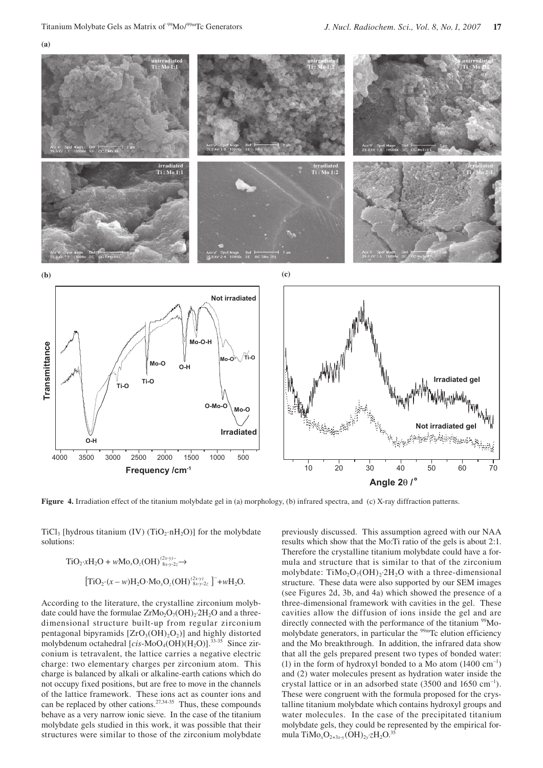**(a)**



**Figure 4.** Irradiation effect of the titanium molybdate gel in (a) morphology, (b) infrared spectra, and (c) X-ray diffraction patterns.

TiCl<sub>3</sub> [hydrous titanium (IV) (TiO<sub>2</sub>·nH<sub>2</sub>O)] for the molybdate solutions:

TiO2·*x*H2O + *w*Mo*x*O*z*(OH)*(2x-y)*– → [TiO2·(*x* – *w*)H2O·Mo*x*O*z*(OH)*(2x-y)* ] – <sup>8</sup> +*w*H2O. *<sup>x</sup>*-*y*-2*<sup>z</sup>* 8*x*-*y*-2*z*

According to the literature, the crystalline zirconium molybdate could have the formulae  $ZrMo<sub>2</sub>O<sub>7</sub>(OH)<sub>2</sub>·2H<sub>2</sub>O$  and a threedimensional structure built-up from regular zirconium pentagonal bipyramids  $[ZrO_3(OH)_2O_2]$  and highly distorted molybdenum octahedral  $[cis-MoO_4(OH)(H_2O)]$ .<sup>33-35</sup> Since zirconium is tetravalent, the lattice carries a negative electric charge: two elementary charges per zirconium atom. This charge is balanced by alkali or alkaline-earth cations which do not occupy fixed positions, but are free to move in the channels of the lattice framework. These ions act as counter ions and can be replaced by other cations.<sup>27,34-35</sup> Thus, these compounds behave as a very narrow ionic sieve. In the case of the titanium molybdate gels studied in this work, it was possible that their structures were similar to those of the zirconium molybdate

previously discussed. This assumption agreed with our NAA results which show that the Mo:Ti ratio of the gels is about 2:1. Therefore the crystalline titanium molybdate could have a formula and structure that is similar to that of the zirconium molybdate: TiMo<sub>2</sub>O<sub>7</sub>(OH)<sub>2</sub>⋅2H<sub>2</sub>O with a three-dimensional structure. These data were also supported by our SEM images (see Figures 2d, 3b, and 4a) which showed the presence of a three-dimensional framework with cavities in the gel. These cavities allow the diffusion of ions inside the gel and are directly connected with the performance of the titanium <sup>99</sup>Momolybdate generators, in particular the <sup>99m</sup>Tc elution efficiency and the Mo breakthrough. In addition, the infrared data show that all the gels prepared present two types of bonded water: (1) in the form of hydroxyl bonded to a Mo atom  $(1400 \text{ cm}^{-1})$ and (2) water molecules present as hydration water inside the crystal lattice or in an adsorbed state  $(3500 \text{ and } 1650 \text{ cm}^{-1})$ . These were congruent with the formula proposed for the crystalline titanium molybdate which contains hydroxyl groups and water molecules. In the case of the precipitated titanium molybdate gels, they could be represented by the empirical formula TiMo*x*O2+3*x*-*<sup>y</sup>* (OH)2*y*⋅*z*H2O. 35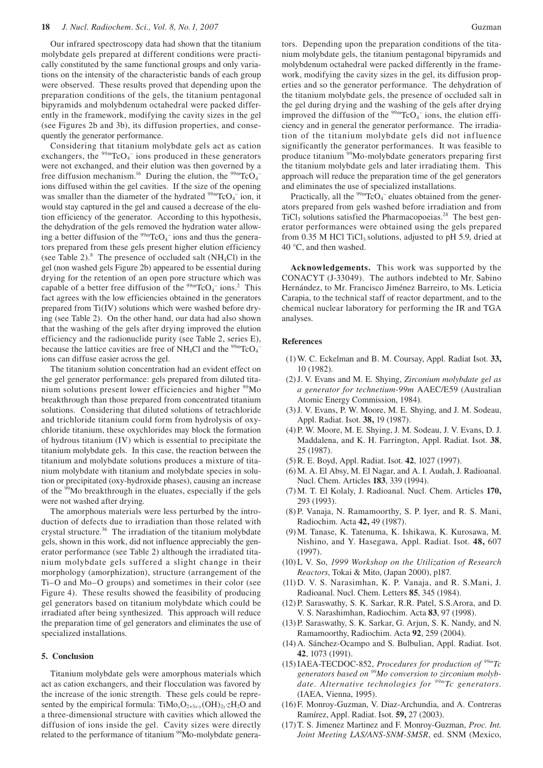Our infrared spectroscopy data had shown that the titanium molybdate gels prepared at different conditions were practically constituted by the same functional groups and only variations on the intensity of the characteristic bands of each group were observed. These results proved that depending upon the preparation conditions of the gels, the titanium pentagonal bipyramids and molybdenum octahedral were packed differently in the framework, modifying the cavity sizes in the gel (see Figures 2b and 3b), its diffusion properties, and consequently the generator performance.

Considering that titanium molybdate gels act as cation exchangers, the  $\frac{99 \text{m}}{\text{TCO}_4}$  ions produced in these generators were not exchanged, and their elution was then governed by a free diffusion mechanism.<sup>16</sup> During the elution, the  $\frac{99 \text{m}}{\text{C}}\text{O}_4$ ions diffused within the gel cavities. If the size of the opening was smaller than the diameter of the hydrated  $\frac{99 \text{m}}{\text{TCO}_4}$  ion, it would stay captured in the gel and caused a decrease of the elution efficiency of the generator. According to this hypothesis, the dehydration of the gels removed the hydration water allowing a better diffusion of the  $99mTcO<sub>4</sub>$  ions and thus the generators prepared from these gels present higher elution efficiency (see Table 2). $8$  The presence of occluded salt (NH<sub>4</sub>Cl) in the gel (non washed gels Figure 2b) appeared to be essential during drying for the retention of an open pore structure which was capable of a better free diffusion of the  $\frac{99 \text{ m}}{\text{TCO}_4}$  ions.<sup>2</sup> This fact agrees with the low efficiencies obtained in the generators prepared from Ti(IV) solutions which were washed before drying (see Table 2). On the other hand, our data had also shown that the washing of the gels after drying improved the elution efficiency and the radionuclide purity (see Table 2, series E), because the lattice cavities are free of NH<sub>4</sub>Cl and the  $\frac{99 \text{m}}{\text{C}}\text{CO}_4$ <sup>-</sup> ions can diffuse easier across the gel.

The titanium solution concentration had an evident effect on the gel generator performance: gels prepared from diluted titanium solutions present lower efficiencies and higher <sup>99</sup>Mo breakthrough than those prepared from concentrated titanium solutions. Considering that diluted solutions of tetrachloride and trichloride titanium could form from hydrolysis of oxychloride titanium, these oxychlorides may block the formation of hydrous titanium (IV) which is essential to precipitate the titanium molybdate gels. In this case, the reaction between the titanium and molybdate solutions produces a mixture of titanium molybdate with titanium and molybdate species in solution or precipitated (oxy-hydroxide phases), causing an increase of the <sup>99</sup>Mo breakthrough in the eluates, especially if the gels were not washed after drying.

The amorphous materials were less perturbed by the introduction of defects due to irradiation than those related with crystal structure. 36 The irradiation of the titanium molybdate gels, shown in this work, did not influence appreciably the generator performance (see Table 2) although the irradiated titanium molybdate gels suffered a slight change in their morphology (amorphization), structure (arrangement of the Ti–O and Mo–O groups) and sometimes in their color (see Figure 4). These results showed the feasibility of producing gel generators based on titanium molybdate which could be irradiated after being synthesized. This approach will reduce the preparation time of gel generators and eliminates the use of specialized installations.

## **5. Conclusion**

Titanium molybdate gels were amorphous materials which act as cation exchangers, and their flocculation was favored by the increase of the ionic strength. These gels could be represented by the empirical formula: TiMo<sub>x</sub>O<sub>2+3x-y</sub>(OH)<sub>2y</sub>⋅zH<sub>2</sub>O and a three-dimensional structure with cavities which allowed the diffusion of ions inside the gel. Cavity sizes were directly related to the performance of titanium <sup>99</sup>Mo-molybdate generators. Depending upon the preparation conditions of the titanium molybdate gels, the titanium pentagonal bipyramids and molybdenum octahedral were packed differently in the framework, modifying the cavity sizes in the gel, its diffusion properties and so the generator performance. The dehydration of the titanium molybdate gels, the presence of occluded salt in the gel during drying and the washing of the gels after drying improved the diffusion of the  $99mTcO<sub>4</sub>$  ions, the elution efficiency and in general the generator performance. The irradiation of the titanium molybdate gels did not influence significantly the generator performances. It was feasible to produce titanium 99Mo-molybdate generators preparing first the titanium molybdate gels and later irradiating them. This approach will reduce the preparation time of the gel generators and eliminates the use of specialized installations.

Practically, all the  $\rm{^{99m}TcO_4}$  eluates obtained from the generators prepared from gels washed before irradiation and from TiCl<sub>3</sub> solutions satisfied the Pharmacopoeias.<sup>28</sup> The best generator performances were obtained using the gels prepared from  $0.35$  M HCl TiCl<sub>3</sub> solutions, adjusted to pH 5.9, dried at 40 °C, and then washed.

**Acknowledgements.** This work was supported by the CONACYT (J-33049). The authors indebted to Mr. Sabino Hernández, to Mr. Francisco Jiménez Barreiro, to Ms. Leticia Carapia, to the technical staff of reactor department, and to the chemical nuclear laboratory for performing the IR and TGA analyses.

#### **References**

- (1) W. C. Eckelman and B. M. Coursay, Appl. Radiat Isot. **33,**  10 (1982).
- (2) J. V. Evans and M. E. Shying, *Zirconium molybdate gel as a generator for technetium-99m* AAEC/E59 (Australian Atomic Energy Commission, 1984).
- (3) J. V. Evans, P. W. Moore, M. E. Shying, and J. M. Sodeau, Appl. Radiat. Isot. **38,** 19 (1987).
- (4) P. W. Moore, M. E. Shying, J. M. Sodeau, J. V. Evans, D. J. Maddalena, and K. H. Farrington, Appl. Radiat. Isot. **38**, 25 (1987).
- (5) R. E. Boyd, Appl. Radiat. Isot. **42**, 1027 (1997).
- (6) M. A. El Absy, M. El Nagar, and A. I. Audah, J. Radioanal. Nucl. Chem. Articles **183**, 339 (1994).
- (7) M. T. El Kolaly, J. Radioanal. Nucl. Chem. Articles **170,**  293 (1993).
- (8) P. Vanaja, N. Ramamoorthy, S. P. Iyer, and R. S. Mani, Radiochim. Acta **42,** 49 (1987).
- (9) M. Tanase, K. Tatenuma, K. Ishikawa, K. Kurosawa, M. Nishino, and Y. Hasegawa, Appl. Radiat. Isot. **48,** 607 (1997).
- (10) L V. So, *1999 Workshop on the Utilization of Research Reactors*, Tokai & Mito, (Japan 2000), p187.
- (11) D. V. S. Narasimhan, K. P. Vanaja, and R. S.Mani, J. Radioanal. Nucl. Chem. Letters **85**, 345 (1984).
- (12) P. Saraswathy, S. K. Sarkar, R.R. Patel, S.S.Arora, and D. V. S. Narashimhan, Radiochim. Acta **83**, 97 (1998).
- (13) P. Saraswathy, S. K. Sarkar, G. Arjun, S. K. Nandy, and N. Ramamoorthy, Radiochim. Acta **92**, 259 (2004).
- (14) A. Sánchez-Ocampo and S. Bulbulian, Appl. Radiat. Isot. **42**, 1073 (1991).
- (15) IAEA-TECDOC-852, *Procedures for production of 99mTc generators based on 99Mo conversion to zirconium molybdate. Alternative technologies for 99mTc generators.* (IAEA, Vienna, 1995).
- (16) F. Monroy-Guzman, V. Diaz-Archundia, and A. Contreras Ramírez, Appl. Radiat. Isot. **59,** 27 (2003).
- (17) T. S. Jimenez Martinez and F. Monroy-Guzman, *Proc. Int. Joint Meeting LAS/ANS-SNM-SMSR*, ed. SNM (Mexico,